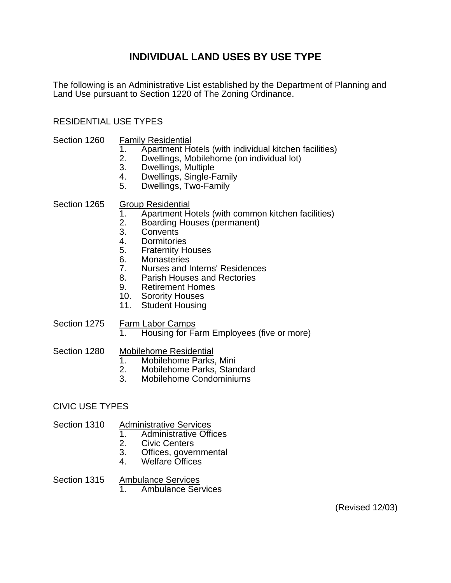## **INDIVIDUAL LAND USES BY USE TYPE**

The following is an Administrative List established by the Department of Planning and Land Use pursuant to Section 1220 of The Zoning Ordinance.

#### RESIDENTIAL USE TYPES

- Section 1260 Family Residential
	- 1. Apartment Hotels (with individual kitchen facilities)<br>2. Dwellings, Mobilehome (on individual lot)
	- 2. Dwellings, Mobilehome (on individual lot)<br>3. Dwellings. Multiple
	- Dwellings, Multiple
	- 4. Dwellings, Single-Family
	- 5. Dwellings, Two-Family

#### Section 1265 Group Residential

- 1. Apartment Hotels (with common kitchen facilities)<br>2. Boarding Houses (permanent)
- Boarding Houses (permanent)
- 3. Convents
- 4. Dormitories
- 5. Fraternity Houses
- 6. Monasteries
- 7. Nurses and Interns' Residences
- 8. Parish Houses and Rectories
- 9. Retirement Homes
- 10. Sorority Houses
- 11. Student Housing
- Section 1275 Farm Labor Camps
	- 1. Housing for Farm Employees (five or more)
- Section 1280 Mobilehome Residential
	- 1. Mobilehome Parks, Mini
	- 2. Mobilehome Parks, Standard
	- 3. Mobilehome Condominiums

#### CIVIC USE TYPES

#### Section 1310 Administrative Services

- 1. Administrative Offices
- 2. Civic Centers
- 3. Offices, governmental
- 4. Welfare Offices

#### Section 1315 Ambulance Services

1. Ambulance Services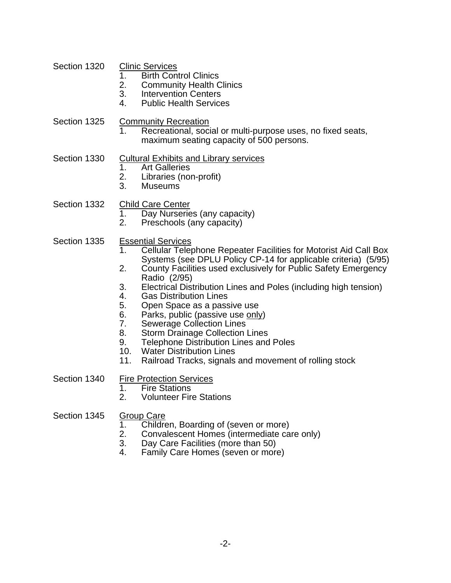- Section 1320 Clinic Services
	- 1. Birth Control Clinics<br>2. Community Health C
	- **Community Health Clinics**
	- 3. Intervention Centers
	- 4. Public Health Services
- Section 1325 Community Recreation
	- 1. Recreational, social or multi-purpose uses, no fixed seats, maximum seating capacity of 500 persons.
- Section 1330 Cultural Exhibits and Library services<br>1. Art Galleries
	- **Art Galleries**
	- 2. Libraries (non-profit)
	- 3. Museums
- Section 1332 Child Care Center<br>1. Day Nurserie
	- 1. Day Nurseries (any capacity)<br>2. Preschools (any capacity)
	- Preschools (any capacity)
- Section 1335 Essential Services
	- 1. Cellular Telephone Repeater Facilities for Motorist Aid Call Box Systems (see DPLU Policy CP-14 for applicable criteria) (5/95)
	- 2. County Facilities used exclusively for Public Safety Emergency Radio (2/95)
	- 3. Electrical Distribution Lines and Poles (including high tension)
	- 4. Gas Distribution Lines
	- 5. Open Space as a passive use
	- 6. Parks, public (passive use only)<br>7. Sewerage Collection Lines
	- Sewerage Collection Lines
	- 8. Storm Drainage Collection Lines
	- 9. Telephone Distribution Lines and Poles<br>10. Water Distribution Lines
	- **Water Distribution Lines**
	- 11. Railroad Tracks, signals and movement of rolling stock

- Section 1340 Fire Protection Services
	- 1. Fire Stations
	- 2. Volunteer Fire Stations
- Section 1345 Group Care
	- 1. Children, Boarding of (seven or more)
	- 2. Convalescent Homes (intermediate care only)<br>3. Day Care Facilities (more than 50)
	- Day Care Facilities (more than 50)
	- 4. Family Care Homes (seven or more)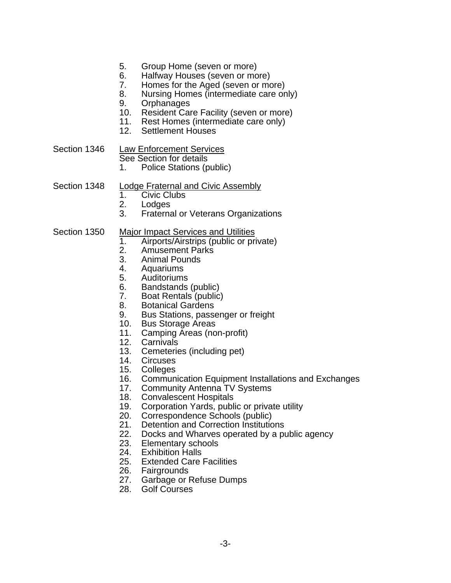- 5. Group Home (seven or more)
- 6. Halfway Houses (seven or more)<br>7. Homes for the Aged (seven or mo
- 7. Homes for the Aged (seven or more)
- 8. Nursing Homes (intermediate care only)
- 9. Orphanages
- 10. Resident Care Facility (seven or more)
- 11. Rest Homes (intermediate care only)
- 12. Settlement Houses

Section 1346 Law Enforcement Services

See Section for details

1. Police Stations (public)

#### Section 1348 Lodge Fraternal and Civic Assembly

- 1. Civic Clubs
- 
- 2. Lodges<br>3. Fraterna **Fraternal or Veterans Organizations**
- Section 1350 Major Impact Services and Utilities
	- 1. Airports/Airstrips (public or private)
	- 2. Amusement Parks<br>3. Animal Pounds
	- 3. Animal Pounds
	- 4. Aquariums
	- 5. Auditoriums
	- 6. Bandstands (public)
	- 7. Boat Rentals (public)
	- 8. Botanical Gardens
	- 9. Bus Stations, passenger or freight
	- 10. Bus Storage Areas
	- 11. Camping Areas (non-profit)
	- 12. Carnivals
	- 13. Cemeteries (including pet)
	- 14. Circuses
	- 15. Colleges
	- 16. Communication Equipment Installations and Exchanges
	- 17. Community Antenna TV Systems
	- 18. Convalescent Hospitals<br>19. Corporation Yards, publ
	- Corporation Yards, public or private utility
	- 20. Correspondence Schools (public)
	- 21. Detention and Correction Institutions
	- 22. Docks and Wharves operated by a public agency
	- 23. Elementary schools
	- 24. Exhibition Halls
	- 25. Extended Care Facilities
	- 26. Fairgrounds
	- 27. Garbage or Refuse Dumps
	- 28. Golf Courses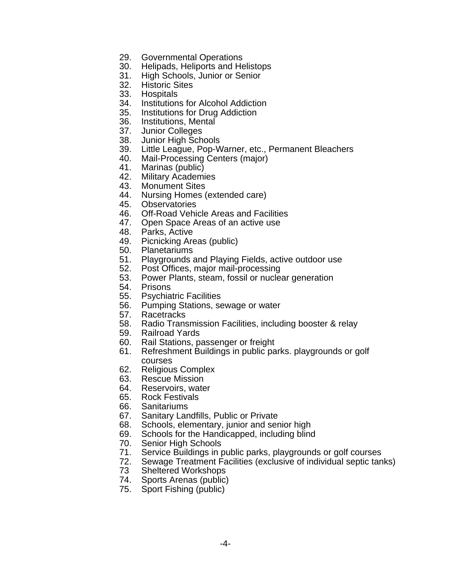- 29. Governmental Operations
- 30. Helipads, Heliports and Helistops
- 31. High Schools, Junior or Senior
- 32. Historic Sites
- 33. Hospitals
- 34. Institutions for Alcohol Addiction
- 35. Institutions for Drug Addiction
- 36. Institutions, Mental
- 37. Junior Colleges
- 38. Junior High Schools
- 39. Little League, Pop-Warner, etc., Permanent Bleachers
- 40. Mail-Processing Centers (major)
- 41. Marinas (public)
- 42. Military Academies
- 43. Monument Sites
- 44. Nursing Homes (extended care)
- 45. Observatories
- 46. Off-Road Vehicle Areas and Facilities
- 47. Open Space Areas of an active use
- 48. Parks, Active
- 49. Picnicking Areas (public)
- 50. Planetariums
- 51. Playgrounds and Playing Fields, active outdoor use
- 52. Post Offices, major mail-processing
- 53. Power Plants, steam, fossil or nuclear generation
- 54. Prisons
- 55. Psychiatric Facilities
- 56. Pumping Stations, sewage or water
- 57. Racetracks
- 58. Radio Transmission Facilities, including booster & relay
- 59. Railroad Yards
- 60. Rail Stations, passenger or freight
- 61. Refreshment Buildings in public parks. playgrounds or golf courses
- 62. Religious Complex
- 63. Rescue Mission
- 64. Reservoirs, water
- 65. Rock Festivals
- 66. Sanitariums
- 67. Sanitary Landfills, Public or Private
- 68. Schools, elementary, junior and senior high
- 69. Schools for the Handicapped, including blind
- 70. Senior High Schools
- 71. Service Buildings in public parks, playgrounds or golf courses
- 72. Sewage Treatment Facilities (exclusive of individual septic tanks)
- 73 Sheltered Workshops
- 74. Sports Arenas (public)
- 75. Sport Fishing (public)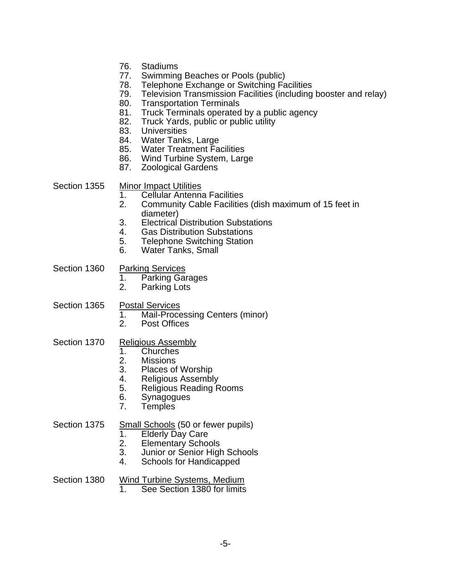- 76. Stadiums
- 77. Swimming Beaches or Pools (public)
- 78. Telephone Exchange or Switching Facilities
- 79. Television Transmission Facilities (including booster and relay)
- 80. Transportation Terminals
- 81. Truck Terminals operated by a public agency
- 82. Truck Yards, public or public utility
- 83. Universities
- 84. Water Tanks, Large
- 85. Water Treatment Facilities
- 86. Wind Turbine System, Large
- 87. Zoological Gardens

#### Section 1355 Minor Impact Utilities

- 1. Cellular Antenna Facilities
- 2. Community Cable Facilities (dish maximum of 15 feet in diameter)
- 3. Electrical Distribution Substations
- 4. Gas Distribution Substations
- 5. Telephone Switching Station
- 6. Water Tanks, Small

Section 1360 Parking Services

- 1. Parking Garages
- 2. Parking Lots
- Section 1365 Postal Services
	- 1. Mail-Processing Centers (minor)<br>2. Post Offices
	- Post Offices

#### Section 1370 Religious Assembly

- 1. Churches<br>2. Missions
- 2. Missions<br>3. Places of
- Places of Worship
- 4. Religious Assembly
- 5. Religious Reading Rooms
- 6. Synagogues
- 7. Temples

#### Section 1375 Small Schools (50 or fewer pupils)

- 1. Elderly Day Care<br>2. Elementary Schoo
- **Elementary Schools**
- 3. Junior or Senior High Schools
- 4. Schools for Handicapped

## Section 1380 Wind Turbine Systems, Medium<br>1 See Section 1380 for limits

See Section 1380 for limits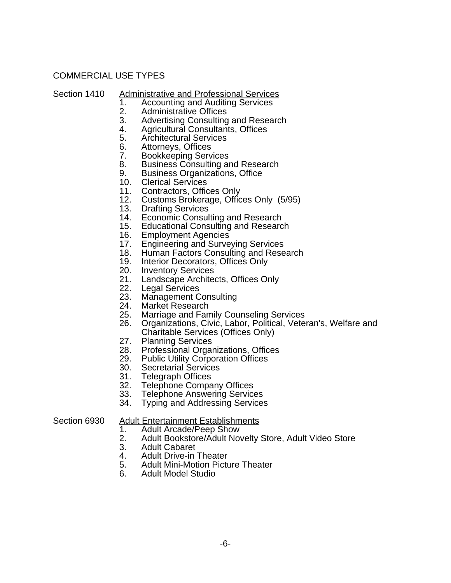### COMMERCIAL USE TYPES

- Section 1410 Administrative and Professional Services<br>1. Accounting and Auditing Services
	- 1. Accounting and Auditing Services<br>2. Administrative Offices
	- 2. Administrative Offices<br>3. Advertising Consulting
	- 3. Advertising Consulting and Research<br>4. Agricultural Consultants, Offices
	- 4. Agricultural Consultants, Offices
	- 5. Architectural Services<br>6. Attornevs. Offices
	- Attorneys, Offices
	- 7. Bookkeeping Services<br>8. Business Consulting a
	- Business Consulting and Research
	- 9. Business Organizations, Office
	- 10. Clerical Services
	- 11. Contractors, Offices Only
	- 12. Customs Brokerage, Offices Only (5/95)
	- 13. Drafting Services
	- 14. Economic Consulting and Research
	- 15. Educational Consulting and Research
	- 16. Employment Agencies<br>17. Engineering and Surve
	- **Engineering and Surveying Services**
	- 18. Human Factors Consulting and Research
	- 19. Interior Decorators, Offices Only
	- 20. Inventory Services
	- 21. Landscape Architects, Offices Only
	- 22. Legal Services
	- 23. Management Consulting<br>24. Market Research
	- 24. Market Research<br>25. Marriage and Fan
	- 25. Marriage and Family Counseling Services<br>26. Organizations. Civic. Labor. Political. Vete
	- 26. Organizations, Civic, Labor, Political, Veteran's, Welfare and Charitable Services (Offices Only)
	- 27. Planning Services
	- 28. Professional Organizations, Offices
	- 29. Public Utility Corporation Offices
	-
	- 30. Secretarial Services<br>31. Telegraph Offices **Telegraph Offices**
	- 32. Telephone Company Offices
	- 33. Telephone Answering Services
	- 34. Typing and Addressing Services

## Section 6930 Adult Entertainment Establishments<br>1. Adult Arcade/Peep Show

- 1. Adult Arcade/Peep Show<br>2. Adult Bookstore/Adult No
- 2. Adult Bookstore/Adult Novelty Store, Adult Video Store<br>3. Adult Cabaret
- 3. Adult Cabaret<br>4. Adult Drive-in
- Adult Drive-in Theater
- 5. Adult Mini-Motion Picture Theater<br>6. Adult Model Studio
- 6. Adult Model Studio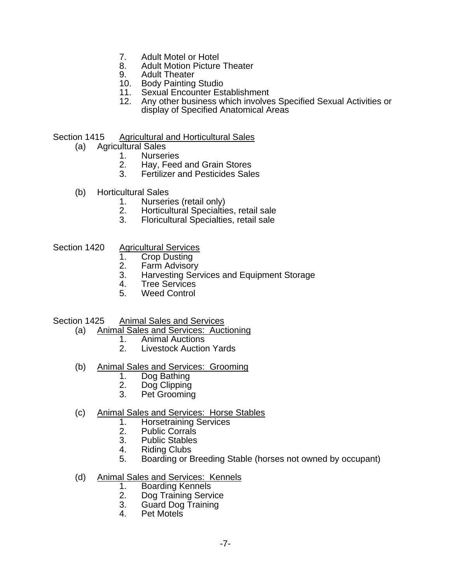- 7. Adult Motel or Hotel
- 8. Adult Motion Picture Theater
- 9. Adult Theater
- 10. Body Painting Studio
- 11. Sexual Encounter Establishment
- 12. Any other business which involves Specified Sexual Activities or display of Specified Anatomical Areas
- Section 1415 Agricultural and Horticultural Sales
	- (a) Agricultural Sales
		- 1. Nurseries
		- 2. Hay, Feed and Grain Stores
		- 3. Fertilizer and Pesticides Sales
	- (b) Horticultural Sales
		- 1. Nurseries (retail only)<br>2. Horticultural Specialtie
		- 2. Horticultural Specialties, retail sale
		- 3. Floricultural Specialties, retail sale
- Section 1420 Agricultural Services
	- 1. Crop Dusting
	- 2. Farm Advisory
	- 3. Harvesting Services and Equipment Storage
	- 4. Tree Services
	- 5. Weed Control
- Section 1425 Animal Sales and Services
	- (a) Animal Sales and Services: Auctioning
		- 1. Animal Auctions<br>2. Livestock Auctio
			- **Livestock Auction Yards**
	- (b) Animal Sales and Services: Grooming<br>1. Dog Bathing
		- 1. Dog Bathing<br>2. Dog Clipping
		- 2. Dog Clipping<br>3. Pet Grooming
		- 3. Pet Grooming
	- (c) Animal Sales and Services: Horse Stables
		- 1. Horsetraining Services<br>2. Public Corrals
		- Public Corrals
		- 3. Public Stables
		- 4. Riding Clubs
		- 5. Boarding or Breeding Stable (horses not owned by occupant)
	- (d) Animal Sales and Services: Kennels
		- 1. Boarding Kennels<br>2. Dog Training Servi
		- Dog Training Service
		- 3. Guard Dog Training
		- 4. Pet Motels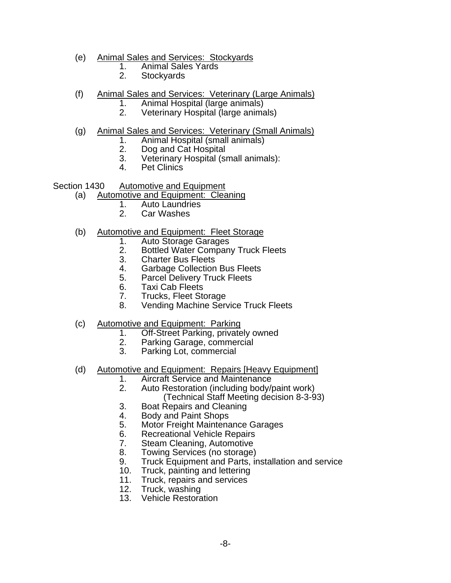- (e) Animal Sales and Services: Stockyards
	- 1. Animal Sales Yards
	- 2. Stockyards
- (f) Animal Sales and Services: Veterinary (Large Animals)
	- 1. Animal Hospital (large animals)<br>2. Veterinary Hospital (large anima
		- Veterinary Hospital (large animals)
- (g) Animal Sales and Services: Veterinary (Small Animals)
	- 1. Animal Hospital (small animals)
	- 2. Dog and Cat Hospital<br>3. Veterinary Hospital (sr
	- Veterinary Hospital (small animals):
	- 4. Pet Clinics

Section 1430 Automotive and Equipment

- (a) Automotive and Equipment: Cleaning
	- 1. Auto Laundries<br>2. Car Washes
	- Car Washes
- (b) Automotive and Equipment: Fleet Storage
	- 1. Auto Storage Garages
	- 2. Bottled Water Company Truck Fleets<br>3. Charter Bus Fleets
	- **Charter Bus Fleets**
	- 4. Garbage Collection Bus Fleets
	- 5. Parcel Delivery Truck Fleets
	- 6. Taxi Cab Fleets
	- 7. Trucks, Fleet Storage
	- 8. Vending Machine Service Truck Fleets
- (c) Automotive and Equipment: Parking
	- 1. Off-Street Parking, privately owned<br>2. Parking Garage, commercial
	- Parking Garage, commercial
	- 3. Parking Lot, commercial
- (d) Automotive and Equipment: Repairs [Heavy Equipment]
	- 1. Aircraft Service and Maintenance
	- 2. Auto Restoration (including body/paint work)
		- (Technical Staff Meeting decision 8-3-93)
	- 3. Boat Repairs and Cleaning
	- 4. Body and Paint Shops<br>5. Motor Freight Maintena
	- **Motor Freight Maintenance Garages**
	- 6. Recreational Vehicle Repairs
	- 7. Steam Cleaning, Automotive
	- 8. Towing Services (no storage)
	- 9. Truck Equipment and Parts, installation and service
	- 10. Truck, painting and lettering
	- 11. Truck, repairs and services
	- 12. Truck, washing
	- 13. Vehicle Restoration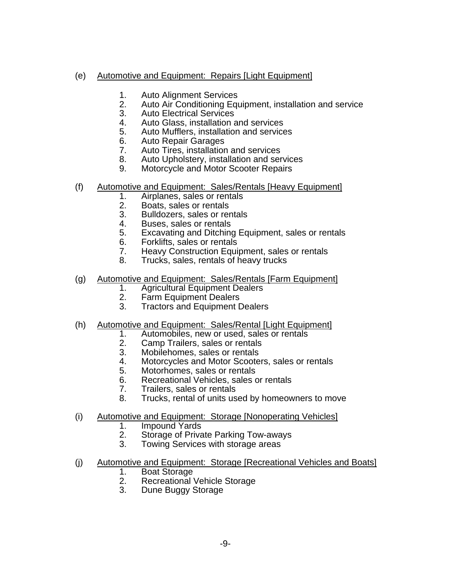### (e) Automotive and Equipment: Repairs [Light Equipment]

- 1. Auto Alignment Services
- 2. Auto Air Conditioning Equipment, installation and service
- 3. Auto Electrical Services
- 4. Auto Glass, installation and services
- 5. Auto Mufflers, installation and services
- 6. Auto Repair Garages
- 7. Auto Tires, installation and services
- 8. Auto Upholstery, installation and services
- 9. Motorcycle and Motor Scooter Repairs
- (f) Automotive and Equipment: Sales/Rentals [Heavy Equipment]
	- 1. Airplanes, sales or rentals
	- 2. Boats, sales or rentals<br>3. Bulldozers, sales or rei
	- Bulldozers, sales or rentals
	- 4. Buses, sales or rentals
	- 5. Excavating and Ditching Equipment, sales or rentals
	- 6. Forklifts, sales or rentals
	- 7. Heavy Construction Equipment, sales or rentals
	- 8. Trucks, sales, rentals of heavy trucks
- (g) Automotive and Equipment: Sales/Rentals [Farm Equipment]
	- 1. Agricultural Equipment Dealers<br>2. Farm Equipment Dealers
	- **Farm Equipment Dealers**
	- 3. Tractors and Equipment Dealers
- (h) Automotive and Equipment: Sales/Rental [Light Equipment]
	- 1. Automobiles, new or used, sales or rentals
	- 2. Camp Trailers, sales or rentals
	- 3. Mobilehomes, sales or rentals
	- 4. Motorcycles and Motor Scooters, sales or rentals
	- 5. Motorhomes, sales or rentals
	- 6. Recreational Vehicles, sales or rentals
	- 7. Trailers, sales or rentals
	- 8. Trucks, rental of units used by homeowners to move
- (i) Automotive and Equipment: Storage [Nonoperating Vehicles]
	- 1. Impound Yards<br>2. Storage of Priva
	- Storage of Private Parking Tow-aways
	- 3. Towing Services with storage areas
- (j) Automotive and Equipment: Storage [Recreational Vehicles and Boats]
	- 1. Boat Storage
	- 2. Recreational Vehicle Storage<br>3. Dune Buggy Storage
	- Dune Buggy Storage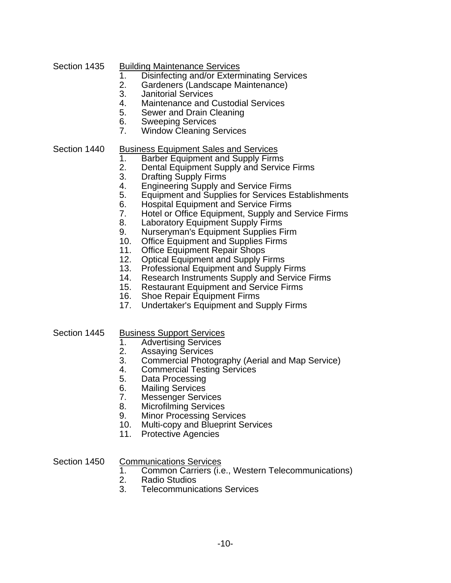#### Section 1435 Building Maintenance Services

- 1. Disinfecting and/or Exterminating Services<br>2. Gardeners (Landscape Maintenance)
- Gardeners (Landscape Maintenance)
- 3. Janitorial Services
- 4. Maintenance and Custodial Services
- 5. Sewer and Drain Cleaning
- 6. Sweeping Services
- 7. Window Cleaning Services

#### Section 1440 Business Equipment Sales and Services

- 1. Barber Equipment and Supply Firms
- 2. Dental Equipment Supply and Service Firms
- 3. Drafting Supply Firms
- 4. Engineering Supply and Service Firms
- 5. Equipment and Supplies for Services Establishments
- 6. Hospital Equipment and Service Firms
- 7. Hotel or Office Equipment, Supply and Service Firms<br>8. Laboratory Equipment Supply Firms
- **Laboratory Equipment Supply Firms**
- 9. Nurseryman's Equipment Supplies Firm
- 10. Office Equipment and Supplies Firms
- 11. Office Equipment Repair Shops
- 12. Optical Equipment and Supply Firms
- 13. Professional Equipment and Supply Firms
- 14. Research Instruments Supply and Service Firms
- 15. Restaurant Equipment and Service Firms<br>16. Shoe Repair Equipment Firms
- **Shoe Repair Equipment Firms**
- 17. Undertaker's Equipment and Supply Firms
- Section 1445 Business Support Services
	- 1. Advertising Services
	- 2. Assaying Services
	- 3. Commercial Photography (Aerial and Map Service)
	- 4. Commercial Testing Services
	- 5. Data Processing
	- 6. Mailing Services
	- 7. Messenger Services
	- 8. Microfilming Services
	- 9. Minor Processing Services
	- 10. Multi-copy and Blueprint Services
	- 11. Protective Agencies

Section 1450 Communications Services

- 1. Common Carriers (i.e., Western Telecommunications)
- 2. Radio Studios
- 3. Telecommunications Services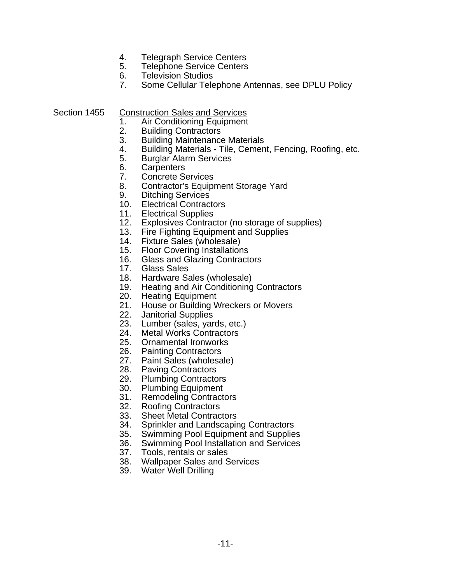- 4. Telegraph Service Centers<br>5. Telephone Service Centers
- **Telephone Service Centers**
- 6. Television Studios<br>7. Some Cellular Tele
- Some Cellular Telephone Antennas, see DPLU Policy

Section 1455 Construction Sales and Services

- 1. Air Conditioning Equipment
- 2. Building Contractors
- 3. Building Maintenance Materials
- 4. Building Materials Tile, Cement, Fencing, Roofing, etc.
- 5. Burglar Alarm Services
- 6. Carpenters
- 7. Concrete Services
- 8. Contractor's Equipment Storage Yard
- 9. Ditching Services
- 10. Electrical Contractors
- 
- 11. Electrical Supplies<br>12. Explosives Contrad Explosives Contractor (no storage of supplies)
- 13. Fire Fighting Equipment and Supplies
- 14. Fixture Sales (wholesale)
- 15. Floor Covering Installations<br>16. Glass and Glazing Contract
- **Glass and Glazing Contractors**
- 17. Glass Sales
- 18. Hardware Sales (wholesale)
- 19. Heating and Air Conditioning Contractors
- 20. Heating Equipment
- 21. House or Building Wreckers or Movers
- 22. Janitorial Supplies
- 23. Lumber (sales, yards, etc.)
- 24. Metal Works Contractors
- 25. Ornamental Ironworks<br>26. Painting Contractors
- **Painting Contractors**
- 27. Paint Sales (wholesale)
- 28. Paving Contractors
- 29. Plumbing Contractors
- 30. Plumbing Equipment
- 31. Remodeling Contractors
- 
- 32. Roofing Contractors<br>33. Sheet Metal Contrac **Sheet Metal Contractors**
- 34. Sprinkler and Landscaping Contractors
- 35. Swimming Pool Equipment and Supplies
- 36. Swimming Pool Installation and Services
- 37. Tools, rentals or sales
- 38. Wallpaper Sales and Services
- 39. Water Well Drilling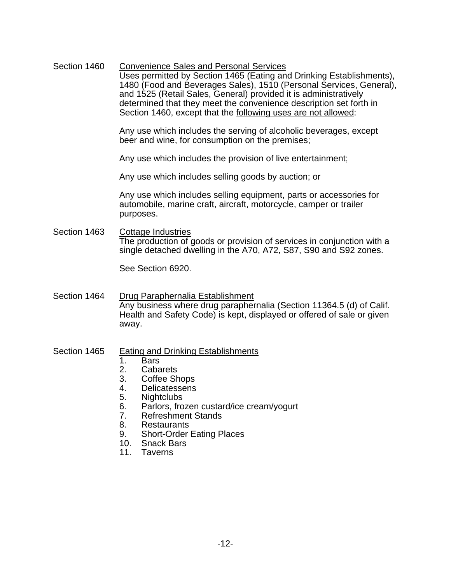Section 1460 Convenience Sales and Personal Services Uses permitted by Section 1465 (Eating and Drinking Establishments), 1480 (Food and Beverages Sales), 1510 (Personal Services, General), and 1525 (Retail Sales, General) provided it is administratively determined that they meet the convenience description set forth in Section 1460, except that the **following uses are not allowed**:

> Any use which includes the serving of alcoholic beverages, except beer and wine, for consumption on the premises;

Any use which includes the provision of live entertainment;

Any use which includes selling goods by auction; or

 Any use which includes selling equipment, parts or accessories for automobile, marine craft, aircraft, motorcycle, camper or trailer purposes.

Section 1463 Cottage Industries The production of goods or provision of services in conjunction with a single detached dwelling in the A70, A72, S87, S90 and S92 zones.

See Section 6920.

Section 1464 Drug Paraphernalia Establishment Any business where drug paraphernalia (Section 11364.5 (d) of Calif. Health and Safety Code) is kept, displayed or offered of sale or given away.

#### Section 1465 Eating and Drinking Establishments

- 1. Bars
- 2. Cabarets
- 3. Coffee Shops
- 4. Delicatessens
- 5. Nightclubs
- 6. Parlors, frozen custard/ice cream/yogurt
- 7. Refreshment Stands
- 8. Restaurants
- 9. Short-Order Eating Places
- 10. Snack Bars
- 11. Taverns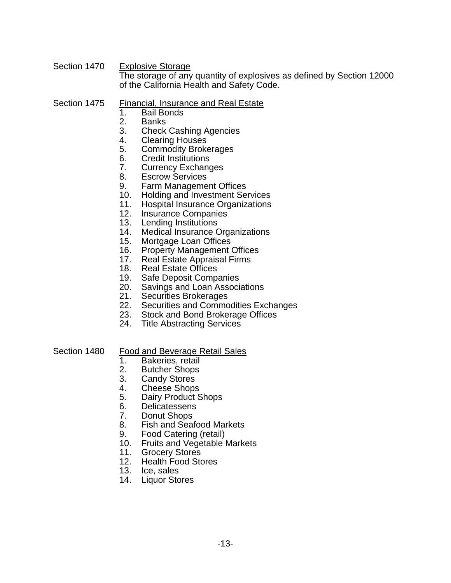Section 1470 Explosive Storage The storage of any quantity of explosives as defined by Section 12000 of the California Health and Safety Code.

#### Section 1475 Financial, Insurance and Real Estate

- 1. Bail Bonds
- **Banks**
- 3. Check Cashing Agencies
- 4. Clearing Houses
- 5. Commodity Brokerages
- 6. Credit Institutions
- 7. Currency Exchanges
- 8. Escrow Services
- 9. Farm Management Offices
- 10. Holding and Investment Services
- 11. Hospital Insurance Organizations
- 12. Insurance Companies
- 13. Lending Institutions
- 14. Medical Insurance Organizations
- 15. Mortgage Loan Offices
- 16. Property Management Offices<br>17. Real Estate Appraisal Firms
- Real Estate Appraisal Firms
- 18. Real Estate Offices<br>19. Safe Deposit Comp
- **Safe Deposit Companies**
- 20. Savings and Loan Associations
- 21. Securities Brokerages
- 22. Securities and Commodities Exchanges
- 23. Stock and Bond Brokerage Offices
- 24. Title Abstracting Services

#### Section 1480 Food and Beverage Retail Sales

- 1. Bakeries, retail
- 2. Butcher Shops
- 3. Candy Stores
- 4. Cheese Shops
- 5. Dairy Product Shops
- 6. Delicatessens
- 
- 7. Donut Shops<br>8. Fish and Seat **Fish and Seafood Markets**
- 9. Food Catering (retail)
- 10. Fruits and Vegetable Markets
- 11. Grocery Stores
- 12. Health Food Stores
- 13. Ice, sales
- 14. Liquor Stores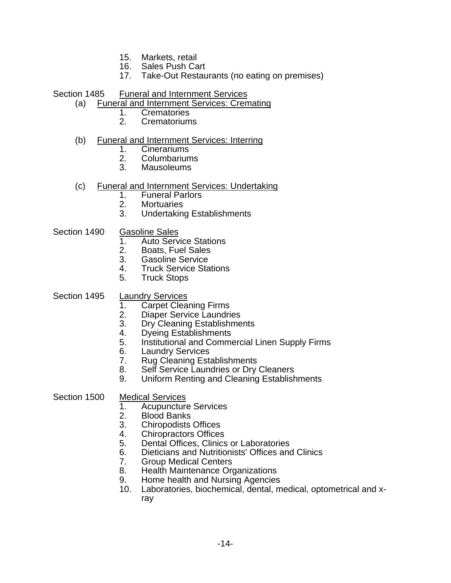- 15. Markets, retail
- 16. Sales Push Cart
- 17. Take-Out Restaurants (no eating on premises)
- Section 1485 Funeral and Internment Services
	- (a) Funeral and Internment Services: Cremating
		- 1. Crematories<br>2. Crematorium
		- 2. Crematoriums

#### (b) Funeral and Internment Services: Interring

- 1. Cinerariums
- 2. Columbariums<br>3. Mausoleums
- Mausoleums

#### (c) Funeral and Internment Services: Undertaking

- 1. Funeral Parlors
- 2. Mortuaries<br>3. Undertaking
- Undertaking Establishments
- Section 1490 Gasoline Sales
	- 1. Auto Service Stations
	- 2. Boats, Fuel Sales<br>3. Gasoline Service
	- Gasoline Service
	- 4. Truck Service Stations
	- 5. Truck Stops

#### Section 1495 Laundry Services

- 1. Carpet Cleaning Firms<br>2. Diaper Service Laundri
- 
- 2. Diaper Service Laundries<br>3. Dry Cleaning Establishme Dry Cleaning Establishments
- 4. Dyeing Establishments
- 5. Institutional and Commercial Linen Supply Firms
- 6. Laundry Services<br>7. Rug Cleaning Esta
- **Rug Cleaning Establishments**
- 8. Self Service Laundries or Dry Cleaners
- 9. Uniform Renting and Cleaning Establishments

#### Section 1500 Medical Services

- 1. Acupuncture Services<br>2. Blood Banks
- 2. Blood Banks<br>3. Chiropodists
- 3. Chiropodists Offices
- 4. Chiropractors Offices
- 5. Dental Offices, Clinics or Laboratories
- 6. Dieticians and Nutritionists' Offices and Clinics
- 7. Group Medical Centers
- 8. Health Maintenance Organizations
- 9. Home health and Nursing Agencies
- 10. Laboratories, biochemical, dental, medical, optometrical and xray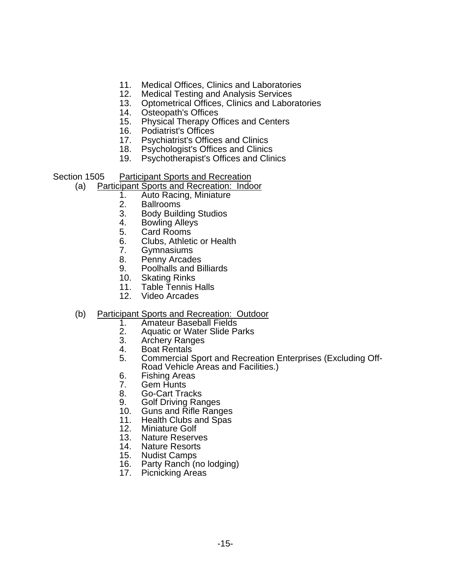- 11. Medical Offices, Clinics and Laboratories
- 12. Medical Testing and Analysis Services
- 13. Optometrical Offices, Clinics and Laboratories
- 14. Osteopath's Offices<br>15. Physical Therapy Of
- 15. Physical Therapy Offices and Centers
- 16. Podiatrist's Offices
- 17. Psychiatrist's Offices and Clinics<br>18. Psychologist's Offices and Clinics
- Psychologist's Offices and Clinics
- 19. Psychotherapist's Offices and Clinics

Section 1505 Participant Sports and Recreation

- (a) Participant Sports and Recreation: Indoor
	- 1. Auto Racing, Miniature
	- 2. Ballrooms<br>3. Body Build
	- 3. Body Building Studios
	- Bowling Alleys
	- 5. Card Rooms
	- 6. Clubs, Athletic or Health
	- 7. Gymnasiums
	- 8. Penny Arcades
	- 9. Poolhalls and Billiards
	- 10. Skating Rinks<br>11. Table Tennis H
	- **Table Tennis Halls**
	- 12. Video Arcades
- (b) Participant Sports and Recreation: Outdoor
	- 1. Amateur Baseball Fields<br>2. Aquatic or Water Slide P
	- 2. Aquatic or Water Slide Parks<br>3. Archery Ranges
	- 3. Archery Ranges<br>4. Boat Rentals
	- 4. Boat Rentals<br>5. Commercial S
	- 5. Commercial Sport and Recreation Enterprises (Excluding Off-Road Vehicle Areas and Facilities.)
	- 6. Fishing Areas<br>7. Gem Hunts
	- 7. Gem Hunts<br>8. Go-Cart Tra
	- 8. Go-Cart Tracks
	- 9. Golf Driving Ranges
	- 10. Guns and Rifle Ranges
	- 11. Health Clubs and Spas
	- 12. Miniature Golf
	- 13. Nature Reserves
	- 14. Nature Resorts
	- 15. Nudist Camps
	- 16. Party Ranch (no lodging)
	- 17. Picnicking Areas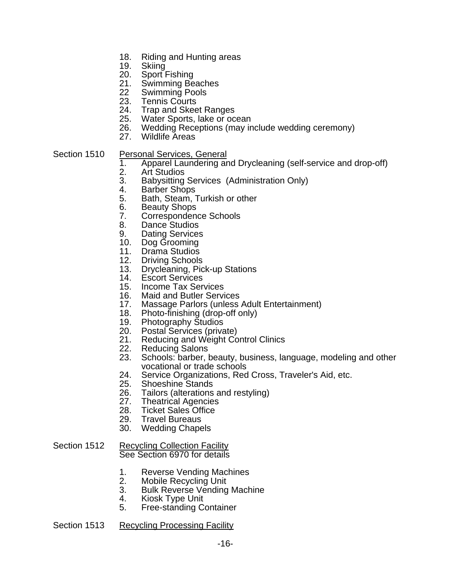- 18. Riding and Hunting areas
- 19. Skiing
- 20. Sport Fishing
- 21. Swimming Beaches
- 22 Swimming Pools
- 23. Tennis Courts
- 24. Trap and Skeet Ranges
- 25. Water Sports, lake or ocean
- 26. Wedding Receptions (may include wedding ceremony)
- 27. Wildlife Areas
- Section 1510 Personal Services, General
	- 1. Apparel Laundering and Drycleaning (self-service and drop-off)
	- 2. Art Studios
	- 3. Babysitting Services (Administration Only)
	- 4. Barber Shops
	- 5. Bath, Steam, Turkish or other
	- 6. Beauty Shops
	- 7. Correspondence Schools
	- 8. Dance Studios
	- 9. Dating Services
	- 10. Dog Grooming
	- 11. Drama Studios
	- 12. Driving Schools
	- 13. Drycleaning, Pick-up Stations
	- 14. Escort Services
	- 15. Income Tax Services
	- 16. Maid and Butler Services
	- 17. Massage Parlors (unless Adult Entertainment)
	- 18. Photo-finishing (drop-off only)<br>19. Photography Studios
	- **Photography Studios**
	- 20. Postal Services (private)
	- 21. Reducing and Weight Control Clinics
	- 22. Reducing Salons
	- 23. Schools: barber, beauty, business, language, modeling and other vocational or trade schools
	- 24. Service Organizations, Red Cross, Traveler's Aid, etc.
	- 25. Shoeshine Stands
	- 26. Tailors (alterations and restyling)
	- 27. Theatrical Agencies
	- 28. Ticket Sales Office<br>29. Travel Bureaus
	- **Travel Bureaus**
	- 30. Wedding Chapels

#### Section 1512 Recycling Collection Facility See Section 6970 for details

- 1. Reverse Vending Machines
- 2. Mobile Recycling Unit
- 3. Bulk Reverse Vending Machine
- 4. Kiosk Type Unit
- 5. Free-standing Container

#### Section 1513 Recycling Processing Facility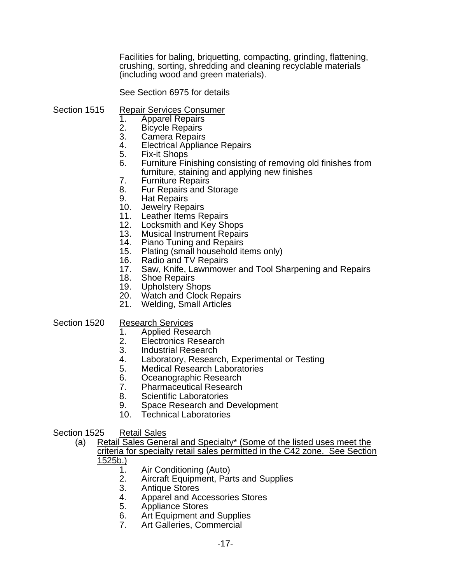Facilities for baling, briquetting, compacting, grinding, flattening, crushing, sorting, shredding and cleaning recyclable materials (including wood and green materials).

See Section 6975 for details

- Section 1515 Repair Services Consumer
	- 1. Apparel Repairs<br>2. Bicycle Repairs
	- Bicycle Repairs
	- 3. Camera Repairs
	- 4. Electrical Appliance Repairs
	- 5. Fix-it Shops
	- 6. Furniture Finishing consisting of removing old finishes from furniture, staining and applying new finishes
	- 7. Furniture Repairs
	- 8. Fur Repairs and Storage
	- 9. Hat Repairs
	- 10. Jewelry Repairs
	- 11. Leather Items Repairs
	- 12. Locksmith and Key Shops
	- 13. Musical Instrument Repairs
	- 14. Piano Tuning and Repairs
	- 15. Plating (small household items only)
	- 16. Radio and TV Repairs
	- 17. Saw, Knife, Lawnmower and Tool Sharpening and Repairs
	- 18. Shoe Repairs
	- 19. Upholstery Shops
	- 20. Watch and Clock Repairs
	- 21. Welding, Small Articles

Section 1520 Research Services

- 1. Applied Research
- 2. Electronics Research
- 3. Industrial Research
- 4. Laboratory, Research, Experimental or Testing<br>5. Medical Research Laboratories
- **Medical Research Laboratories**
- 6. Oceanographic Research
- 7. Pharmaceutical Research
- 8. Scientific Laboratories
- 9. Space Research and Development
- 10. Technical Laboratories

#### Section 1525 Retail Sales

- (a) Retail Sales General and Specialty\* (Some of the listed uses meet the criteria for specialty retail sales permitted in the C42 zone. See Section <u>1525b.)</u><br>\_1.
	- Air Conditioning (Auto)
	- 2. Aircraft Equipment, Parts and Supplies
	- 3. Antique Stores
	- 4. Apparel and Accessories Stores
	- 5. Appliance Stores
	- 6. Art Equipment and Supplies
	- 7. Art Galleries, Commercial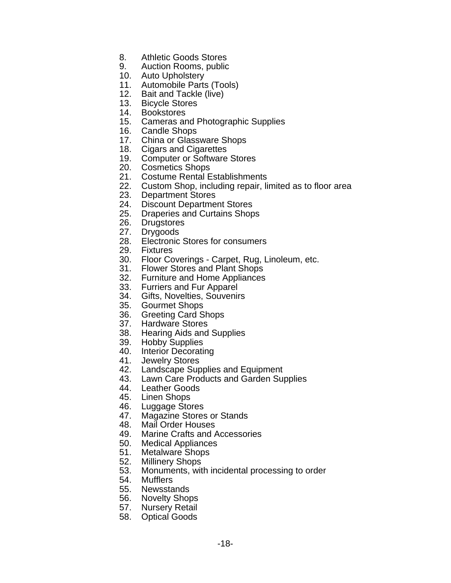- 8. Athletic Goods Stores
- 9. Auction Rooms, public
- 10. Auto Upholstery
- 11. Automobile Parts (Tools)
- 12. Bait and Tackle (live)
- 13. Bicycle Stores
- 14. Bookstores
- 15. Cameras and Photographic Supplies
- 16. Candle Shops
- 17. China or Glassware Shops
- 18. Cigars and Cigarettes
- 19. Computer or Software Stores
- 20. Cosmetics Shops
- 21. Costume Rental Establishments
- 22. Custom Shop, including repair, limited as to floor area
- 23. Department Stores
- 24. Discount Department Stores
- 25. Draperies and Curtains Shops
- 26. Drugstores
- 27. Drygoods
- 28. Electronic Stores for consumers
- 29. Fixtures
- 30. Floor Coverings Carpet, Rug, Linoleum, etc.
- 31. Flower Stores and Plant Shops
- 32. Furniture and Home Appliances
- 33. Furriers and Fur Apparel
- 34. Gifts, Novelties, Souvenirs
- 35. Gourmet Shops
- 36. Greeting Card Shops
- 37. Hardware Stores
- 38. Hearing Aids and Supplies
- 39. Hobby Supplies
- 40. Interior Decorating
- 41. Jewelry Stores
- 42. Landscape Supplies and Equipment
- 43. Lawn Care Products and Garden Supplies
- 44. Leather Goods
- 45. Linen Shops
- 46. Luggage Stores
- 47. Magazine Stores or Stands
- 48. Mail Order Houses
- 49. Marine Crafts and Accessories
- 50. Medical Appliances
- 51. Metalware Shops
- 52. Millinery Shops
- 53. Monuments, with incidental processing to order
- 54. Mufflers
- 55. Newsstands
- 56. Novelty Shops
- 57. Nursery Retail
- 58. Optical Goods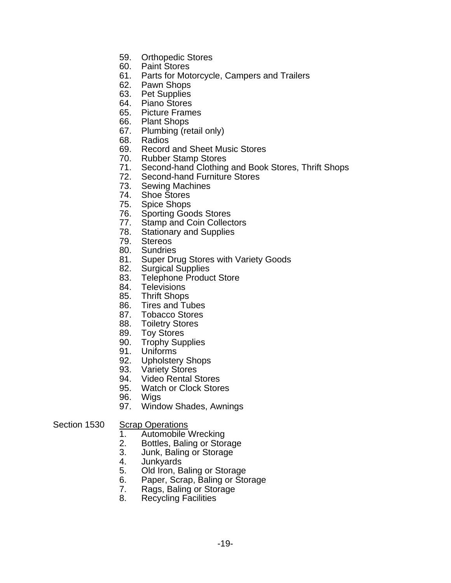- 59. Orthopedic Stores
- 60. Paint Stores
- 61. Parts for Motorcycle, Campers and Trailers
- 62. Pawn Shops
- 63. Pet Supplies
- 64. Piano Stores
- 65. Picture Frames
- 66. Plant Shops
- 67. Plumbing (retail only)
- 68. Radios
- 69. Record and Sheet Music Stores
- 70. Rubber Stamp Stores
- 71. Second-hand Clothing and Book Stores, Thrift Shops
- 72. Second-hand Furniture Stores
- 73. Sewing Machines
- 74. Shoe Stores
- 75. Spice Shops
- 76. Sporting Goods Stores
- 77. Stamp and Coin Collectors
- 78. Stationary and Supplies
- 79. Stereos
- 80. Sundries
- 81. Super Drug Stores with Variety Goods
- 82. Surgical Supplies
- 83. Telephone Product Store
- 84. Televisions
- 85. Thrift Shops
- 86. Tires and Tubes
- 87. Tobacco Stores
- 88. Toiletry Stores
- 89. Toy Stores
- 90. Trophy Supplies
- 91. Uniforms
- 92. Upholstery Shops
- 93. Variety Stores
- 94. Video Rental Stores
- 95. Watch or Clock Stores
- 96. Wigs
- 97. Window Shades, Awnings

#### Section 1530 Scrap Operations

- 1. Automobile Wrecking
- 2. Bottles, Baling or Storage
- 3. Junk, Baling or Storage
- 4. Junkyards
- 5. Old Iron, Baling or Storage
- 6. Paper, Scrap, Baling or Storage
- 7. Rags, Baling or Storage
- 8. Recycling Facilities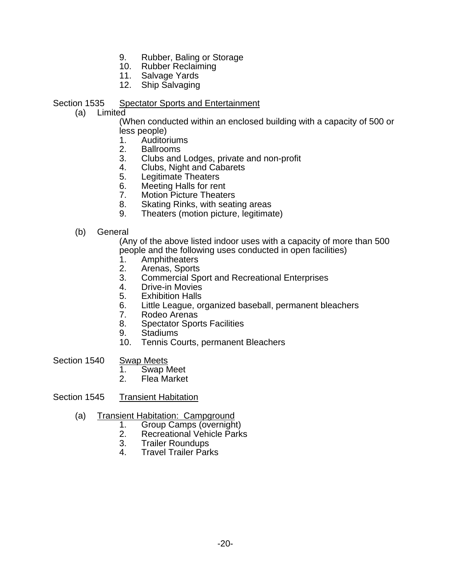- 9. Rubber, Baling or Storage
- 10. Rubber Reclaiming
- 11. Salvage Yards
- 12. Ship Salvaging

Section 1535 Spectator Sports and Entertainment

(a) Limited

 (When conducted within an enclosed building with a capacity of 500 or less people)

- 1. Auditoriums
- 2. Ballrooms
- 3. Clubs and Lodges, private and non-profit
- 4. Clubs, Night and Cabarets
- 5. Legitimate Theaters
- 6. Meeting Halls for rent
- 7. Motion Picture Theaters
- 8. Skating Rinks, with seating areas
- 9. Theaters (motion picture, legitimate)
- (b) General

 (Any of the above listed indoor uses with a capacity of more than 500 people and the following uses conducted in open facilities)

- 1. Amphitheaters
- 2. Arenas, Sports
- 3. Commercial Sport and Recreational Enterprises
- 4. Drive-in Movies
- 5. Exhibition Halls
- 6. Little League, organized baseball, permanent bleachers
- 7. Rodeo Arenas<br>8. Spectator Spor
- 8. Spectator Sports Facilities
- 9. Stadiums
- 10. Tennis Courts, permanent Bleachers
- Section 1540 Swap Meets
- 1. Swap Meet
	- 2. Flea Market
- Section 1545 Transient Habitation
	- (a) Transient Habitation: Campground<br>1. Group Camps (overnigh
		- 1. Group Camps (overnight)
		- 2. Recreational Vehicle Parks<br>3. Trailer Roundups
		- 3. Trailer Roundups
		- 4. Travel Trailer Parks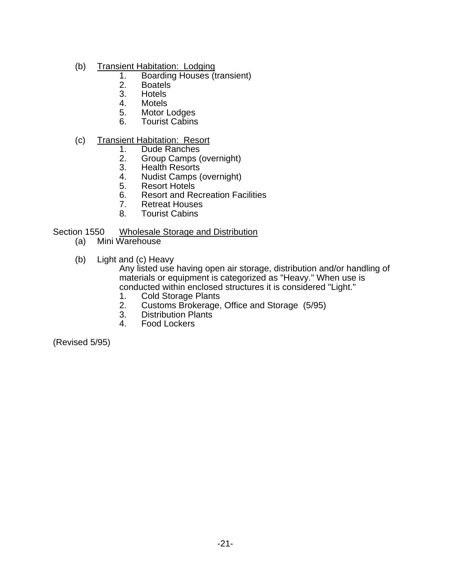- (b) Transient Habitation: Lodging
	- 1. Boarding Houses (transient)<br>2. Boatels
	- 2. Boatels<br>3. Hotels
	- **Hotels**
	- 4. Motels<br>5. Motor L
	- 5. Motor Lodges
	- **Tourist Cabins**

#### (c) Transient Habitation: Resort

- 1. Dude Ranches<br>2. Group Camps (
- 2. Group Camps (overnight)
- Health Resorts
- 4. Nudist Camps (overnight)
- 5. Resort Hotels
- 6. Resort and Recreation Facilities
- 7. Retreat Houses<br>8. Tourist Cabins
- **Tourist Cabins**

#### Section 1550 Wholesale Storage and Distribution

- (a) Mini Warehouse
- (b) Light and (c) Heavy

 Any listed use having open air storage, distribution and/or handling of materials or equipment is categorized as "Heavy." When use is conducted within enclosed structures it is considered "Light."

- 1. Cold Storage Plants
- 2. Customs Brokerage, Office and Storage (5/95)
- 3. Distribution Plants<br>4. Food Lockers
- 4. Food Lockers

(Revised 5/95)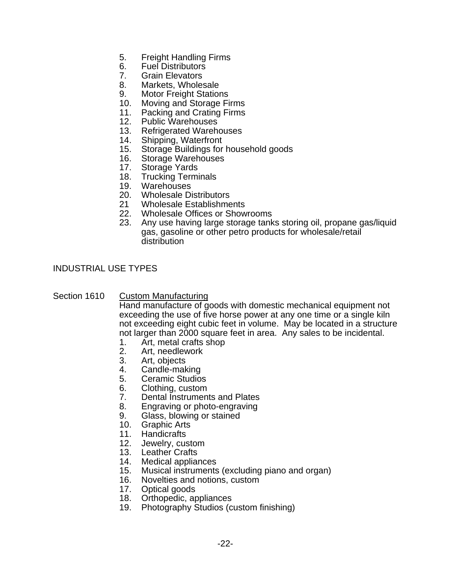- 5. Freight Handling Firms
- 6. Fuel Distributors
- 7. Grain Elevators
- 8. Markets, Wholesale
- 9. Motor Freight Stations
- 10. Moving and Storage Firms
- 11. Packing and Crating Firms
- 12. Public Warehouses
- 13. Refrigerated Warehouses<br>14. Shipping. Waterfront
- 14. Shipping, Waterfront<br>15. Storage Buildings for
- Storage Buildings for household goods
- 16. Storage Warehouses
- 17. Storage Yards
- 18. Trucking Terminals
- 19. Warehouses
- 20. Wholesale Distributors
- 21 Wholesale Establishments
- 22. Wholesale Offices or Showrooms
- 23. Any use having large storage tanks storing oil, propane gas/liquid gas, gasoline or other petro products for wholesale/retail distribution

INDUSTRIAL USE TYPES

#### Section 1610 Custom Manufacturing

 Hand manufacture of goods with domestic mechanical equipment not exceeding the use of five horse power at any one time or a single kiln not exceeding eight cubic feet in volume. May be located in a structure not larger than 2000 square feet in area. Any sales to be incidental.

- 1. Art, metal crafts shop
- 2. Art, needlework
- 3. Art, objects
- 4. Candle-making
- 5. Ceramic Studios
- 6. Clothing, custom
- 7. Dental Instruments and Plates
- 8. Engraving or photo-engraving
- 9. Glass, blowing or stained
- 10. Graphic Arts
- 11. Handicrafts
- 12. Jewelry, custom
- 13. Leather Crafts
- 14. Medical appliances
- 15. Musical instruments (excluding piano and organ)
- 16. Novelties and notions, custom
- 17. Optical goods
- 18. Orthopedic, appliances
- 19. Photography Studios (custom finishing)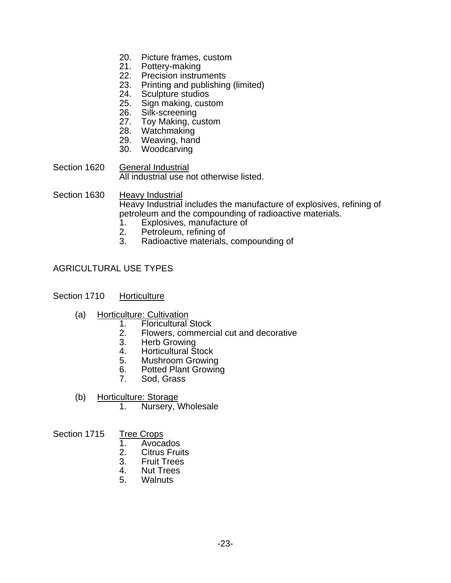- 20. Picture frames, custom
- 21. Pottery-making<br>22. Precision instru
- Precision instruments
- 23. Printing and publishing (limited)
- 24. Sculpture studios
- 25. Sign making, custom
- 26. Silk-screening
- 27. Toy Making, custom
- 28. Watchmaking
- 29. Weaving, hand
- 30. Woodcarving
- Section 1620 General Industrial All industrial use not otherwise listed.

Section 1630 Heavy Industrial Heavy Industrial includes the manufacture of explosives, refining of petroleum and the compounding of radioactive materials.

- 1. Explosives, manufacture of
- 2. Petroleum, refining of<br>3. Radioactive materials.
- Radioactive materials, compounding of

### AGRICULTURAL USE TYPES

#### Section 1710 Horticulture

- (a) Horticulture: Cultivation<br>1. Floricultural
	- **Floricultural Stock**
	- 2. Flowers, commercial cut and decorative<br>3. Herb Growing
	- Herb Growing
	- 4. Horticultural Stock<br>5. Mushroom Growing
	- 5. Mushroom Growing
	- 6. Potted Plant Growing
	- 7. Sod, Grass
- (b) Horticulture: Storage
	- 1. Nursery, Wholesale

## Section 1715 Tree Crops<br>1. Avoca

- 1. Avocados
- 2. Citrus Fruits
- 3. Fruit Trees
- 4. Nut Trees
- 5. Walnuts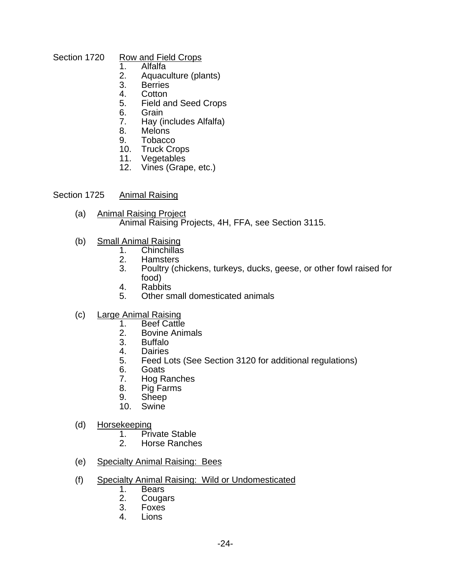# Section 1720 Row and Field Crops<br>1. Alfalfa

- $Alfalfa$
- 2. Aquaculture (plants)
- **Berries**
- 4. Cotton
- 5. Field and Seed Crops
- 6. Grain<br>7. Hav (i
- Hay (includes Alfalfa)
- 8. Melons
- 9. Tobacco
- 10. Truck Crops
- 11. Vegetables
- 12. Vines (Grape, etc.)

#### Section 1725 Animal Raising

- (a) Animal Raising Project Animal Raising Projects, 4H, FFA, see Section 3115.
- (b) Small Animal Raising
	- 1. Chinchillas<br>2. Hamsters
	- 2. Hamsters<br>3. Poultry (ch
	- Poultry (chickens, turkeys, ducks, geese, or other fowl raised for food)
	- 4. Rabbits<br>5. Other sr
	- 5. Other small domesticated animals
- c) Large Animal Raising<br>1. Beef Cattle
	- **Beef Cattle**
	- 2. Bovine Animals<br>3. Buffalo
	- **Buffalo**
	- 4. Dairies<br>5. Feed Lo
	- 5. Feed Lots (See Section 3120 for additional regulations)
	- 6. Goats
	- 7. Hog Ranches
	- 8. Pig Farms
	- 9. Sheep
	- 10. Swine
- (d) Horsekeeping
	- 1. Private Stable<br>2. Horse Ranche
	- 2. Horse Ranches
- (e) Specialty Animal Raising: Bees
- (f) Specialty Animal Raising: Wild or Undomesticated
	- 1. Bears<br>2. Couga
	- **Cougars**
	- 3. Foxes
	- **Lions**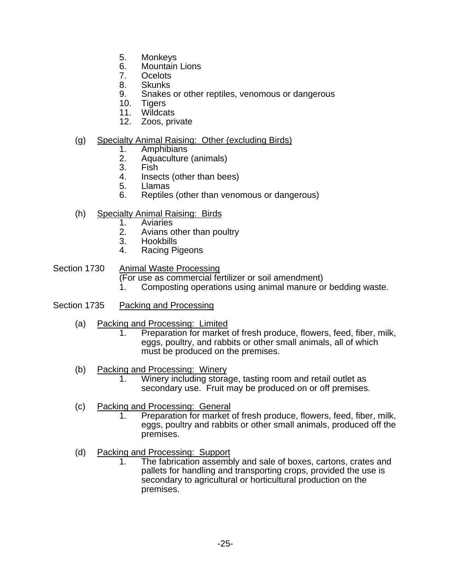- 5. Monkeys
- 6. Mountain Lions
- 7. Ocelots
- 8. Skunks
- 9. Snakes or other reptiles, venomous or dangerous
- 10. Tigers<br>11. Wildca
- Wildcats
- 12. Zoos, private

#### (g) Specialty Animal Raising: Other (excluding Birds)

- 
- 1. Amphibians 2. Aquaculture (animals)
- 3. Fish
- 4. Insects (other than bees)
- 5. Llamas
- 6. Reptiles (other than venomous or dangerous)
- (h) Specialty Animal Raising: Birds
	- **Aviaries**
	- 2. Avians other than poultry<br>3. Hookbills
	- **Hookbills**
	- 4. Racing Pigeons

#### Section 1730 Animal Waste Processing

- (For use as commercial fertilizer or soil amendment)<br>1 Composting operations using animal manure of
- 1. Composting operations using animal manure or bedding waste.
- Section 1735 Packing and Processing
	- (a) Packing and Processing: Limited
		- 1. Preparation for market of fresh produce, flowers, feed, fiber, milk, eggs, poultry, and rabbits or other small animals, all of which must be produced on the premises.
	- (b) Packing and Processing: Winery
		- 1. Winery including storage, tasting room and retail outlet as secondary use. Fruit may be produced on or off premises.
	- (c) Packing and Processing: General
		- 1. Preparation for market of fresh produce, flowers, feed, fiber, milk, eggs, poultry and rabbits or other small animals, produced off the premises.
	- (d) Packing and Processing: Support
		- 1. The fabrication assembly and sale of boxes, cartons, crates and pallets for handling and transporting crops, provided the use is secondary to agricultural or horticultural production on the premises.